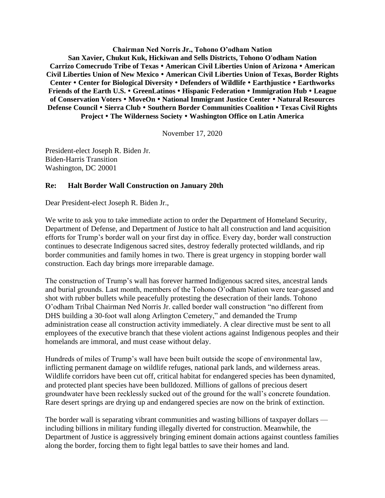**Chairman Ned Norris Jr., Tohono O'odham Nation San Xavier, Chukut Kuk, Hickiwan and Sells Districts, Tohono O'odham Nation Carrizo Comecrudo Tribe of Texas American Civil Liberties Union of Arizona American Civil Liberties Union of New Mexico American Civil Liberties Union of Texas, Border Rights Center Center for Biological Diversity Defenders of Wildlife Earthjustice Earthworks Friends of the Earth U.S. GreenLatinos Hispanic Federation Immigration Hub League of Conservation Voters MoveOn National Immigrant Justice Center Natural Resources Defense Council Sierra Club Southern Border Communities Coalition Texas Civil Rights Project The Wilderness Society Washington Office on Latin America**

November 17, 2020

President-elect Joseph R. Biden Jr. Biden-Harris Transition Washington, DC 20001

## **Re: Halt Border Wall Construction on January 20th**

Dear President-elect Joseph R. Biden Jr.,

We write to ask you to take immediate action to order the Department of Homeland Security, Department of Defense, and Department of Justice to halt all construction and land acquisition efforts for Trump's border wall on your first day in office. Every day, border wall construction continues to desecrate Indigenous sacred sites, destroy federally protected wildlands, and rip border communities and family homes in two. There is great urgency in stopping border wall construction. Each day brings more irreparable damage.

The construction of Trump's wall has forever harmed Indigenous sacred sites, ancestral lands and burial grounds. Last month, members of the Tohono O'odham Nation were tear-gassed and shot with rubber bullets while peacefully protesting the desecration of their lands. Tohono O'odham Tribal Chairman Ned Norris Jr. called border wall construction "no different from DHS building a 30-foot wall along Arlington Cemetery," and demanded the Trump administration cease all construction activity immediately. A clear directive must be sent to all employees of the executive branch that these violent actions against Indigenous peoples and their homelands are immoral, and must cease without delay.

Hundreds of miles of Trump's wall have been built outside the scope of environmental law, inflicting permanent damage on wildlife refuges, national park lands, and wilderness areas. Wildlife corridors have been cut off, critical habitat for endangered species has been dynamited, and protected plant species have been bulldozed. Millions of gallons of precious desert groundwater have been recklessly sucked out of the ground for the wall's concrete foundation. Rare desert springs are drying up and endangered species are now on the brink of extinction.

The border wall is separating vibrant communities and wasting billions of taxpayer dollars including billions in military funding illegally diverted for construction. Meanwhile, the Department of Justice is aggressively bringing eminent domain actions against countless families along the border, forcing them to fight legal battles to save their homes and land.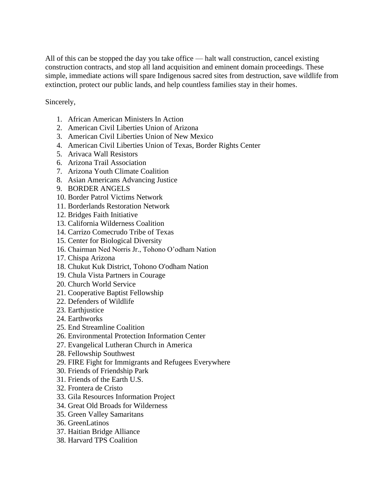All of this can be stopped the day you take office — halt wall construction, cancel existing construction contracts, and stop all land acquisition and eminent domain proceedings. These simple, immediate actions will spare Indigenous sacred sites from destruction, save wildlife from extinction, protect our public lands, and help countless families stay in their homes.

Sincerely,

- 1. African American Ministers In Action
- 2. American Civil Liberties Union of Arizona
- 3. American Civil Liberties Union of New Mexico
- 4. American Civil Liberties Union of Texas, Border Rights Center
- 5. Arivaca Wall Resistors
- 6. Arizona Trail Association
- 7. Arizona Youth Climate Coalition
- 8. Asian Americans Advancing Justice
- 9. BORDER ANGELS
- 10. Border Patrol Victims Network
- 11. Borderlands Restoration Network
- 12. Bridges Faith Initiative
- 13. California Wilderness Coalition
- 14. Carrizo Comecrudo Tribe of Texas
- 15. Center for Biological Diversity
- 16. Chairman Ned Norris Jr., Tohono O'odham Nation
- 17. Chispa Arizona
- 18. Chukut Kuk District, Tohono O'odham Nation
- 19. Chula Vista Partners in Courage
- 20. Church World Service
- 21. Cooperative Baptist Fellowship
- 22. Defenders of Wildlife
- 23. Earthiustice
- 24. Earthworks
- 25. End Streamline Coalition
- 26. Environmental Protection Information Center
- 27. Evangelical Lutheran Church in America
- 28. Fellowship Southwest
- 29. FIRE Fight for Immigrants and Refugees Everywhere
- 30. Friends of Friendship Park
- 31. Friends of the Earth U.S.
- 32. Frontera de Cristo
- 33. Gila Resources Information Project
- 34. Great Old Broads for Wilderness
- 35. Green Valley Samaritans
- 36. GreenLatinos
- 37. Haitian Bridge Alliance
- 38. Harvard TPS Coalition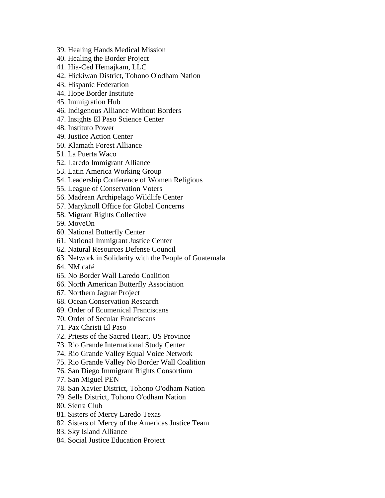- 39. Healing Hands Medical Mission
- 40. Healing the Border Project
- 41. Hia-Ced Hemajkam, LLC
- 42. Hickiwan District, Tohono O'odham Nation
- 43. Hispanic Federation
- 44. Hope Border Institute
- 45. Immigration Hub
- 46. Indigenous Alliance Without Borders
- 47. Insights El Paso Science Center
- 48. Instituto Power
- 49. Justice Action Center
- 50. Klamath Forest Alliance
- 51. La Puerta Waco
- 52. Laredo Immigrant Alliance
- 53. Latin America Working Group
- 54. Leadership Conference of Women Religious
- 55. League of Conservation Voters
- 56. Madrean Archipelago Wildlife Center
- 57. Maryknoll Office for Global Concerns
- 58. Migrant Rights Collective
- 59. MoveOn
- 60. National Butterfly Center
- 61. National Immigrant Justice Center
- 62. Natural Resources Defense Council
- 63. Network in Solidarity with the People of Guatemala
- 64. NM café
- 65. No Border Wall Laredo Coalition
- 66. North American Butterfly Association
- 67. Northern Jaguar Project
- 68. Ocean Conservation Research
- 69. Order of Ecumenical Franciscans
- 70. Order of Secular Franciscans
- 71. Pax Christi El Paso
- 72. Priests of the Sacred Heart, US Province
- 73. Rio Grande International Study Center
- 74. Rio Grande Valley Equal Voice Network
- 75. Rio Grande Valley No Border Wall Coalition
- 76. San Diego Immigrant Rights Consortium
- 77. San Miguel PEN
- 78. San Xavier District, Tohono O'odham Nation
- 79. Sells District, Tohono O'odham Nation
- 80. Sierra Club
- 81. Sisters of Mercy Laredo Texas
- 82. Sisters of Mercy of the Americas Justice Team
- 83. Sky Island Alliance
- 84. Social Justice Education Project